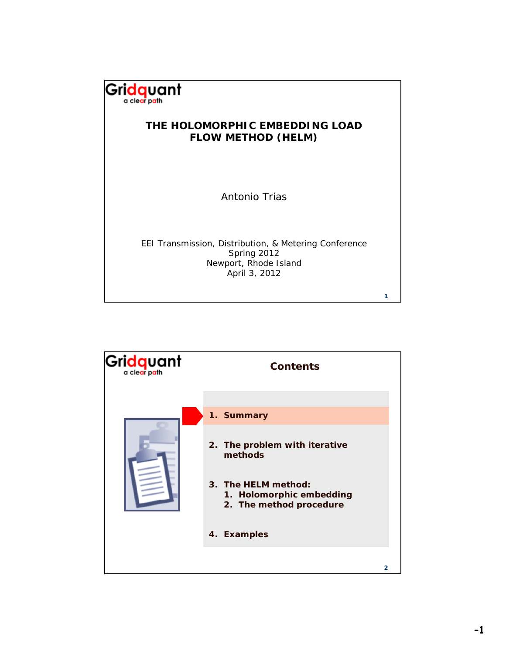

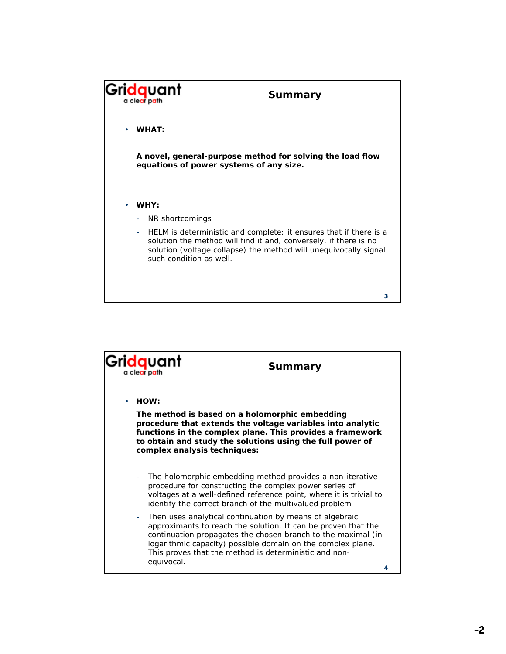

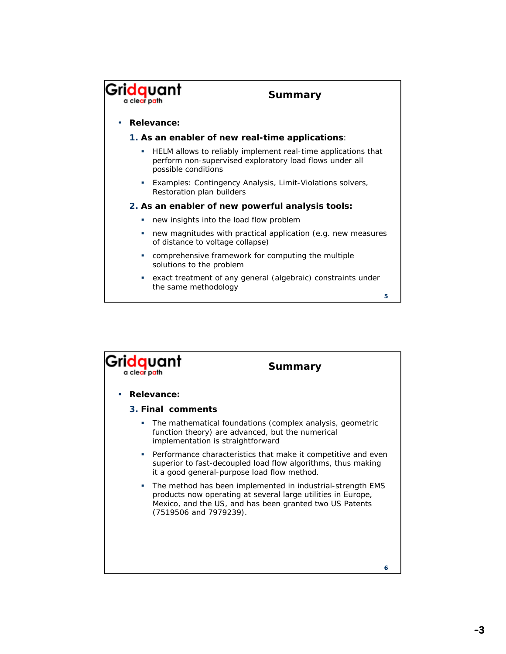

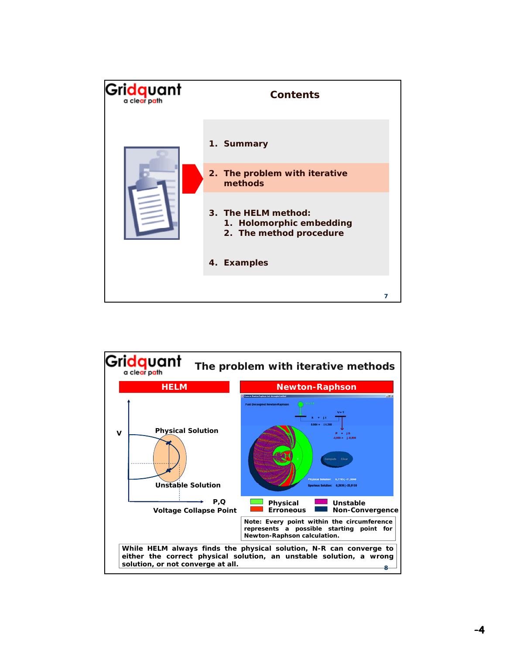| Gridquant | <b>Contents</b>                                                            |   |
|-----------|----------------------------------------------------------------------------|---|
|           | 1. Summary                                                                 |   |
|           | 2. The problem with iterative<br>methods                                   |   |
|           | 3. The HELM method:<br>1. Holomorphic embedding<br>2. The method procedure |   |
|           | 4. Examples                                                                |   |
|           |                                                                            | 7 |

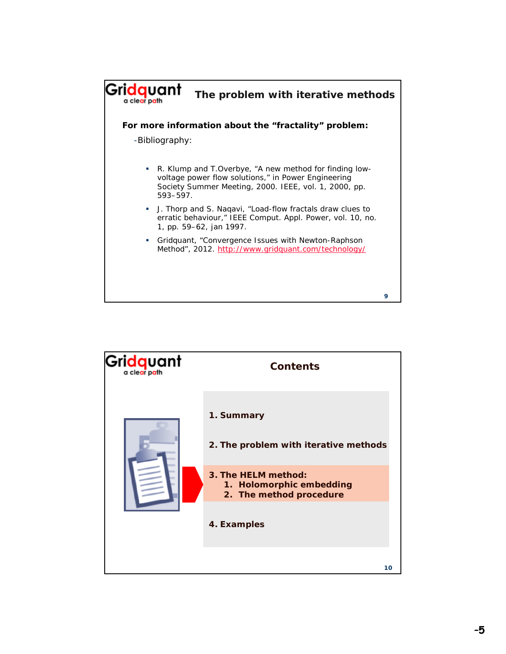

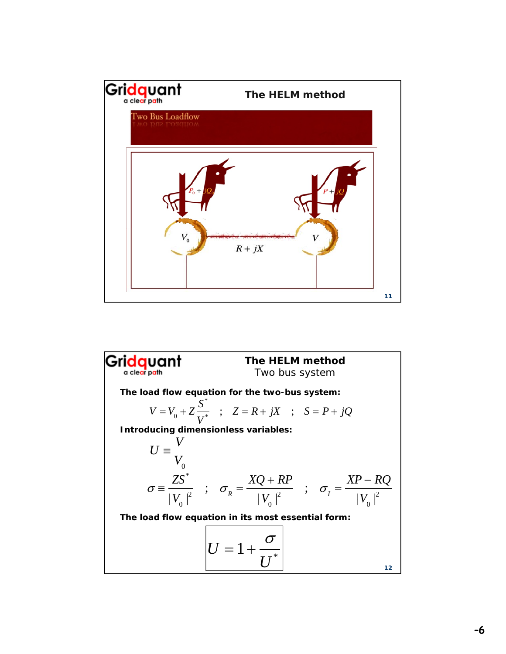

**Gridquant** The HELM method  
\nThe load flow equation for the two-bus system:  
\n
$$
V = V_0 + Z \frac{S^*}{V^*}
$$
;  $Z = R + jX$ ;  $S = P + jQ$   
\nIntroducing dimensionless variables:  
\n $U = \frac{V}{V_0}$   
\n $\sigma = \frac{ZS^*}{|V_0|^2}$ ;  $\sigma_R = \frac{XQ + RP}{|V_0|^2}$ ;  $\sigma_I = \frac{XP - RQ}{|V_0|^2}$   
\nThe load flow equation in its most essential form:  
\n
$$
U = 1 + \frac{\sigma}{U^*}
$$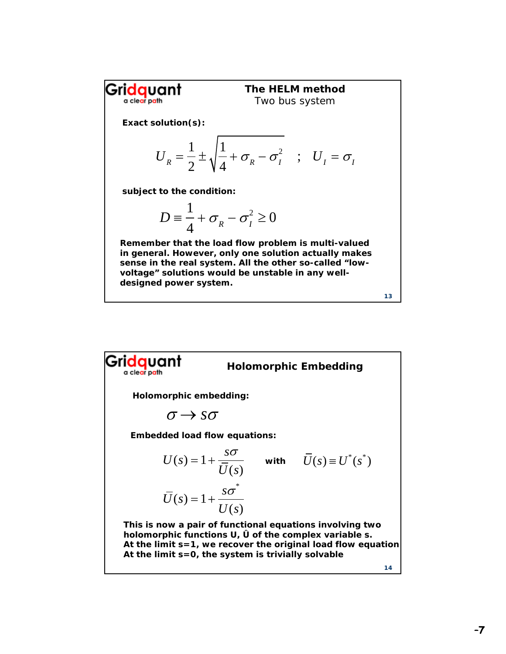Gri<mark>dq</mark>uant **The HELM method** Two bus system **Exact solution(s):** 1 1  $U_R = \frac{1}{2} \pm \sqrt{\frac{1}{4} + \sigma_R - \sigma_I^2}$  ; U *U*  $\pm$  $\sigma_R - \sigma_I^2$  ;  $U_I = \sigma_I$ **subject to the condition:** 1  $+\sigma_R^2 - \sigma_I^2 \geq 0$  $D \equiv$ 4 **Remember that the load flow problem is multi-valued in general. However, only one solution actually makes sense in the real system. All the other so-called "lowvoltage" solutions would be unstable in any welldesigned power system. 13**

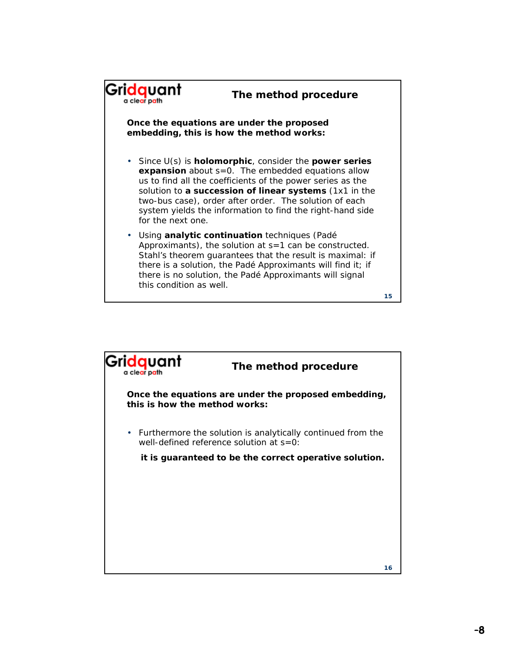

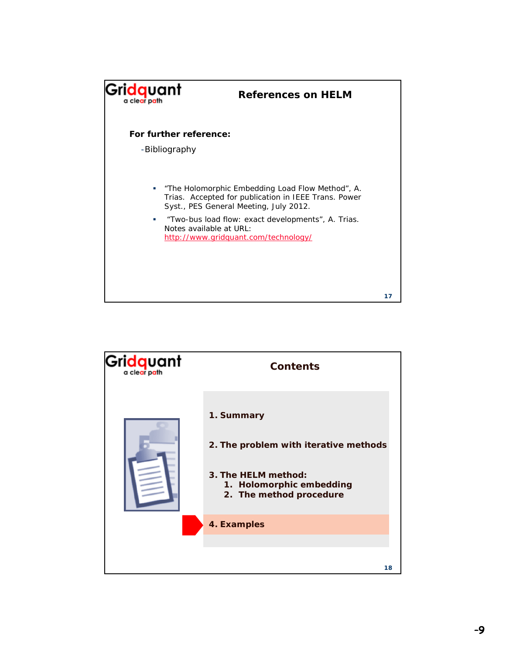

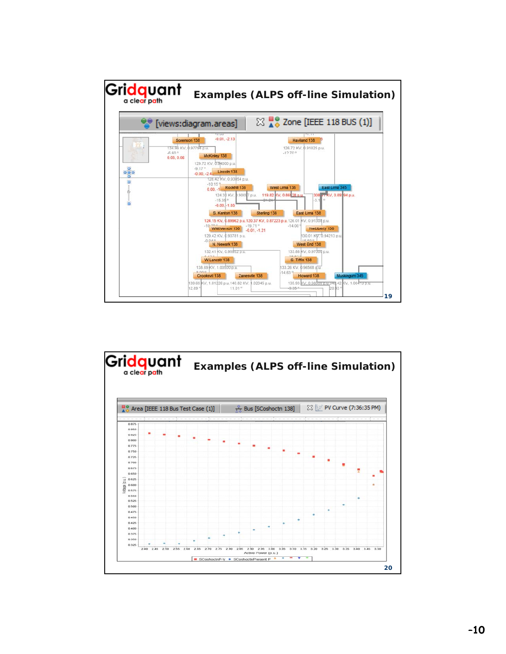

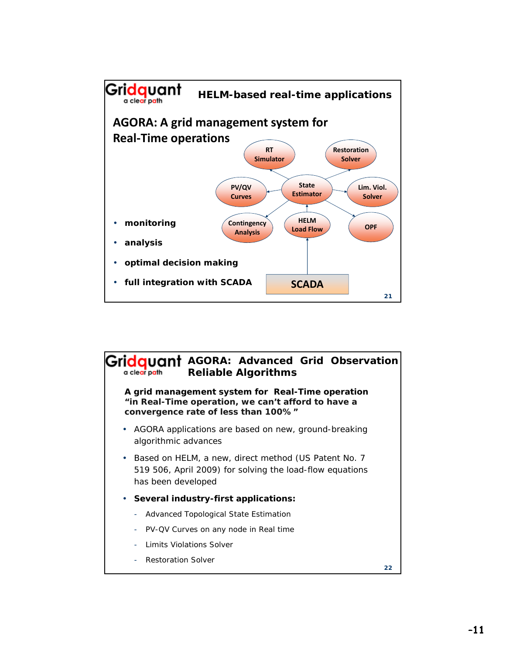